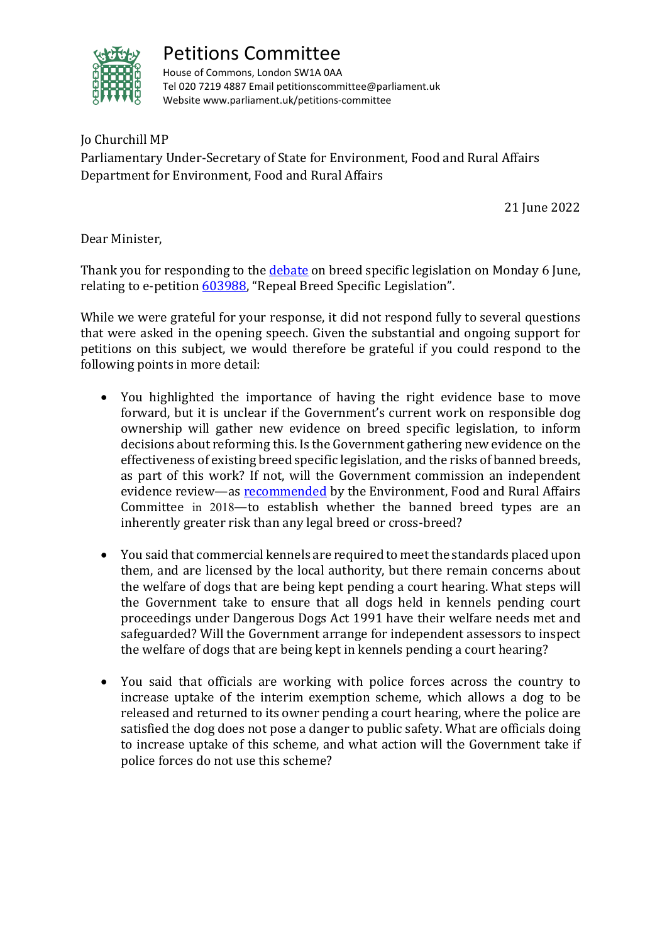

## Petitions Committee

House of Commons, London SW1A 0AA Tel 020 7219 4887 Email petitionscommittee@parliament.uk Website www.parliament.uk/petitions-committee

Jo Churchill MP Parliamentary Under-Secretary of State for Environment, Food and Rural Affairs Department for Environment, Food and Rural Affairs

21 June 2022

Dear Minister,

Thank you for responding to the [debate](https://hansard.parliament.uk/commons/2022-06-06/debates/E7DC68B3-E1E5-449B-B922-F3333187C8FB/Breed-SpecificLegislation) on breed specific legislation on Monday 6 June, relating to e-petition [603988,](https://petition.parliament.uk/petitions/603988) "Repeal Breed Specific Legislation".

While we were grateful for your response, it did not respond fully to several questions that were asked in the opening speech. Given the substantial and ongoing support for petitions on this subject, we would therefore be grateful if you could respond to the following points in more detail:

- You highlighted the importance of having the right evidence base to move forward, but it is unclear if the Government's current work on responsible dog ownership will gather new evidence on breed specific legislation, to inform decisions about reforming this. Is the Government gathering new evidence on the effectiveness of existing breed specific legislation, and the risks of banned breeds, as part of this work? If not, will the Government commission an independent evidence review—as **recommended** by the Environment, Food and Rural Affairs Committee in 2018—to establish whether the banned breed types are an inherently greater risk than any legal breed or cross-breed?
- You said that commercial kennels are required to meet the standards placed upon them, and are licensed by the local authority, but there remain concerns about the welfare of dogs that are being kept pending a court hearing. What steps will the Government take to ensure that all dogs held in kennels pending court proceedings under Dangerous Dogs Act 1991 have their welfare needs met and safeguarded? Will the Government arrange for independent assessors to inspect the welfare of dogs that are being kept in kennels pending a court hearing?
- You said that officials are working with police forces across the country to increase uptake of the interim exemption scheme, which allows a dog to be released and returned to its owner pending a court hearing, where the police are satisfied the dog does not pose a danger to public safety. What are officials doing to increase uptake of this scheme, and what action will the Government take if police forces do not use this scheme?